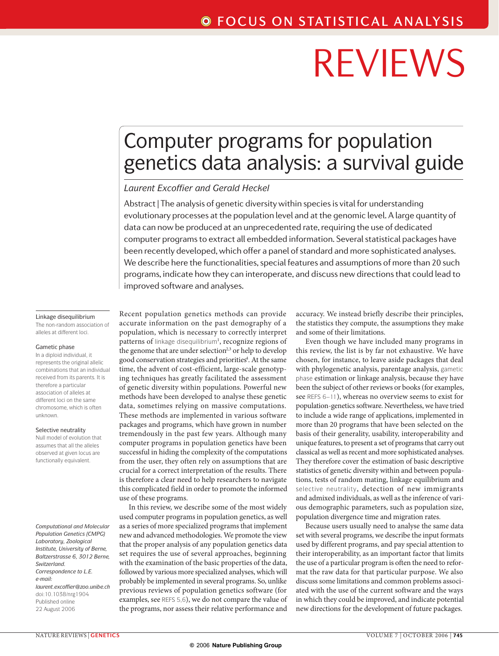## Computer programs for population genetics data analysis: a survival guide

#### *Laurent Excoffier and Gerald Heckel*

Abstract | The analysis of genetic diversity within species is vital for understanding evolutionary processes at the population level and at the genomic level. A large quantity of data can now be produced at an unprecedented rate, requiring the use of dedicated computer programs to extract all embedded information. Several statistical packages have been recently developed, which offer a panel of standard and more sophisticated analyses. We describe here the functionalities, special features and assumptions of more than 20 such programs, indicate how they can interoperate, and discuss new directions that could lead to improved software and analyses.

#### Linkage disequilibrium

The non-random association of alleles at different loci.

#### Gametic phase

In a diploid individual, it represents the original allelic combinations that an individual received from its parents. It is therefore a particular association of alleles at different loci on the same chromosome, which is often unknown.

#### Selective neutrality

Null model of evolution that assumes that all the alleles observed at given locus are functionally equivalent.

*Computational and Molecular Population Genetics (CMPG) Laboratory, Zoological Institute, University of Berne, Baltzerstrasse 6, 3012 Berne, Switzerland. Correspondence to L.E. e-mail: laurent.excoffier@zoo.unibe.ch* doi:10.1038/nrg1904 Published online 22 August 2006

Recent population genetics methods can provide accurate information on the past demography of a population, which is necessary to correctly interpret  $\mathsf{patterns}$  of linkage disequilibrium $^1$ ,  $\mathsf{recognize}$   $\mathsf{regions}$  of the genome that are under selection<sup>2,3</sup> or help to develop good conservation strategies and priorities<sup>4</sup>. At the same time, the advent of cost-efficient, large-scale genotyping techniques has greatly facilitated the assessment of genetic diversity within populations. Powerful new methods have been developed to analyse these genetic data, sometimes relying on massive computations. These methods are implemented in various software packages and programs, which have grown in number tremendously in the past few years. Although many computer programs in population genetics have been successful in hiding the complexity of the computations from the user, they often rely on assumptions that are crucial for a correct interpretation of the results. There is therefore a clear need to help researchers to navigate this complicated field in order to promote the informed use of these programs.

In this review, we describe some of the most widely used computer programs in population genetics, as well as a series of more specialized programs that implement new and advanced methodologies. We promote the view that the proper analysis of any population genetics data set requires the use of several approaches, beginning with the examination of the basic properties of the data, followed by various more specialized analyses, which will probably be implemented in several programs. So, unlike previous reviews of population genetics software (for examples, see REFS 5,6), we do not compare the value of the programs, nor assess their relative performance and

accuracy. We instead briefly describe their principles, the statistics they compute, the assumptions they make and some of their limitations.

Even though we have included many programs in this review, the list is by far not exhaustive. We have chosen, for instance, to leave aside packages that deal with phylogenetic analysis, parentage analysis, gametic phase estimation or linkage analysis, because they have been the subject of other reviews or books (for examples, see REFS 6–11), whereas no overview seems to exist for population-genetics software. Nevertheless, we have tried to include a wide range of applications, implemented in more than 20 programs that have been selected on the basis of their generality, usability, interoperability and unique features, to present a set of programs that carry out classical as well as recent and more sophisticated analyses. They therefore cover the estimation of basic descriptive statistics of genetic diversity within and between populations, tests of random mating, linkage equilibrium and selective neutrality, detection of new immigrants and admixed individuals, as well as the inference of various demographic parameters, such as population size, population divergence time and migration rates.

Because users usually need to analyse the same data set with several programs, we describe the input formats used by different programs, and pay special attention to their interoperability, as an important factor that limits the use of a particular program is often the need to reformat the raw data for that particular purpose. We also discuss some limitations and common problems associated with the use of the current software and the ways in which they could be improved, and indicate potential new directions for the development of future packages.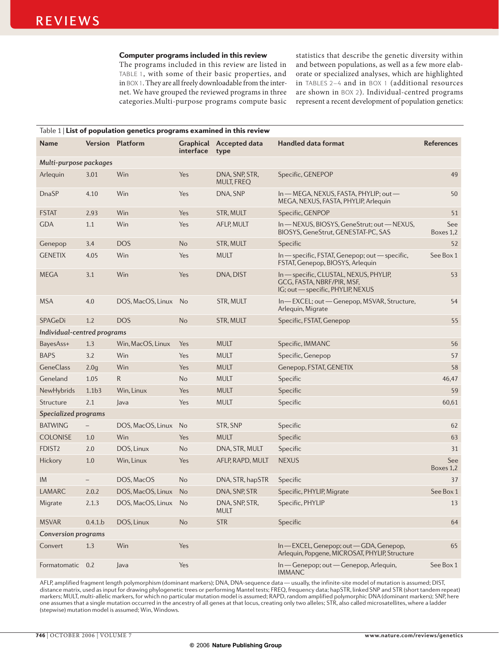#### Computer programs included in this review

The programs included in this review are listed in TABLE 1, with some of their basic properties, and in BOX 1. They are all freely downloadable from the internet. We have grouped the reviewed programs in three categories. Multi-purpose programs compute basic statistics that describe the genetic diversity within and between populations, as well as a few more elaborate or specialized analyses, which are highlighted in TABLES 2-4 and in BOX 1 (additional resources are shown in BOX 2). Individual-centred programs represent a recent development of population genetics:

| Table 1   List of population genetics programs examined in this review |                   |                         |            |                                     |                                                                                                           |                   |
|------------------------------------------------------------------------|-------------------|-------------------------|------------|-------------------------------------|-----------------------------------------------------------------------------------------------------------|-------------------|
| <b>Name</b>                                                            |                   | <b>Version Platform</b> | interface  | Graphical Accepted data<br>type     | <b>Handled data format</b>                                                                                | <b>References</b> |
| Multi-purpose packages                                                 |                   |                         |            |                                     |                                                                                                           |                   |
| Arlequin                                                               | 3.01              | Win                     | Yes        | DNA, SNP, STR,<br><b>MULT, FREQ</b> | Specific, GENEPOP                                                                                         | 49                |
| DnaSP                                                                  | 4.10              | Win                     | Yes        | DNA, SNP                            | In - MEGA, NEXUS, FASTA, PHYLIP; out -<br>MEGA, NEXUS, FASTA, PHYLIP, Arlequin                            | 50                |
| <b>FSTAT</b>                                                           | 2.93              | Win                     | Yes        | STR, MULT                           | Specific, GENPOP                                                                                          | 51                |
| <b>GDA</b>                                                             | 1.1               | Win                     | Yes        | AFLP, MULT                          | In - NEXUS, BIOSYS, GeneStrut; out - NEXUS,<br>BIOSYS, GeneStrut, GENESTAT-PC, SAS                        | See<br>Boxes 1.2  |
| Genepop                                                                | 3.4               | <b>DOS</b>              | <b>No</b>  | STR, MULT                           | Specific                                                                                                  | 52                |
| <b>GENETIX</b>                                                         | 4.05              | Win                     | Yes        | <b>MULT</b>                         | $ln$ - specific, FSTAT, Genepop; out - specific,<br>FSTAT, Genepop, BIOSYS, Arlequin                      | See Box 1         |
| <b>MEGA</b>                                                            | 3.1               | Win                     | Yes        | DNA, DIST                           | In - specific, CLUSTAL, NEXUS, PHYLIP,<br>GCG, FASTA, NBRF/PIR, MSF,<br>IG; out - specific, PHYLIP, NEXUS | 53                |
| <b>MSA</b>                                                             | 4.0               | DOS, MacOS, Linux       | No         | STR, MULT                           | In - EXCEL; out - Genepop, MSVAR, Structure,<br>Arlequin, Migrate                                         | 54                |
| SPAGeDi                                                                | 1.2               | <b>DOS</b>              | No         | STR, MULT                           | Specific, FSTAT, Genepop                                                                                  | 55                |
| Individual-centred programs                                            |                   |                         |            |                                     |                                                                                                           |                   |
| BayesAss+                                                              | 1.3               | Win, MacOS, Linux       | Yes        | <b>MULT</b>                         | Specific, IMMANC                                                                                          | 56                |
| <b>BAPS</b>                                                            | 3.2               | Win                     | <b>Yes</b> | <b>MULT</b>                         | Specific, Genepop                                                                                         | 57                |
| GeneClass                                                              | 2.0 <sub>q</sub>  | Win                     | Yes        | <b>MULT</b>                         | Genepop, FSTAT, GENETIX                                                                                   | 58                |
| Geneland                                                               | 1.05              | R                       | No         | <b>MULT</b>                         | Specific                                                                                                  | 46,47             |
| NewHybrids                                                             | 1.1 <sub>b3</sub> | Win, Linux              | Yes        | <b>MULT</b>                         | Specific                                                                                                  | 59                |
| Structure                                                              | 2.1               | Java                    | Yes        | <b>MULT</b>                         | Specific                                                                                                  | 60,61             |
| Specialized programs                                                   |                   |                         |            |                                     |                                                                                                           |                   |
| <b>BATWING</b>                                                         |                   | DOS, MacOS, Linux       | No         | STR, SNP                            | Specific                                                                                                  | 62                |
| <b>COLONISE</b>                                                        | 1.0               | Win                     | Yes        | <b>MULT</b>                         | Specific                                                                                                  | 63                |
| FDIST <sub>2</sub>                                                     | 2.0               | DOS, Linux              | No         | DNA, STR, MULT                      | Specific                                                                                                  | 31                |
| <b>Hickory</b>                                                         | 1.0               | Win, Linux              | Yes        | AFLP, RAPD, MULT                    | <b>NEXUS</b>                                                                                              | See<br>Boxes 1,2  |
| IM                                                                     | —                 | DOS, MacOS              | <b>No</b>  | DNA, STR, hapSTR                    | Specific                                                                                                  | 37                |
| <b>LAMARC</b>                                                          | 2.0.2             | DOS, MacOS, Linux       | <b>No</b>  | DNA, SNP, STR                       | Specific, PHYLIP, Migrate                                                                                 | See Box 1         |
| Migrate                                                                | 2.1.3             | DOS, MacOS, Linux No    |            | DNA, SNP, STR,<br>MULT              | Specific, PHYLIP                                                                                          | 13                |
| <b>MSVAR</b>                                                           | 0.4.1.b           | DOS, Linux              | No         | <b>STR</b>                          | Specific                                                                                                  | 64                |
| <b>Conversion programs</b>                                             |                   |                         |            |                                     |                                                                                                           |                   |
| Convert                                                                | 1.3               | Win                     | Yes        |                                     | In - EXCEL, Genepop; out - GDA, Genepop,<br>Arlequin, Popgene, MICROSAT, PHYLIP, Structure                | 65                |
| Formatomatic 0.2                                                       |                   | Java                    | Yes        |                                     | In — Genepop; out — Genepop, Arlequin,<br><b>IMMANC</b>                                                   | See Box 1         |

AFLP, amplified fragment length polymorphism (dominant markers); DNA, DNA-sequence data — usually, the infinite-site model of mutation is assumed; DIST, distance matrix, used as input for drawing phylogenetic trees or performing Mantel tests; FREQ, frequency data; hapSTR, linked SNP and STR (short tandem repeat) markers; MULT, multi-allelic markers, for which no particular mutation model is assumed; RAPD, random amplified polymorphic DNA (dominant markers); SNP, here one assumes that a single mutation occurred in the ancestry of all genes at that locus, creating only two alleles; STR, also called microsatellites, where a ladder (stepwise) mutation model is assumed; Win, Windows.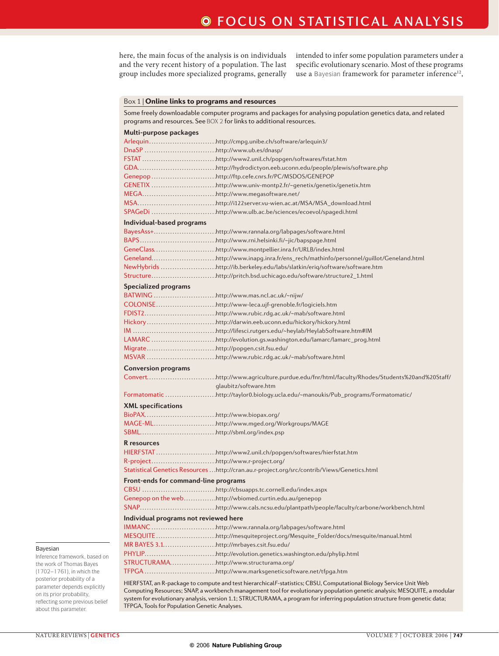here, the main focus of the analysis is on individuals and the very recent history of a population. The last group includes more specialized programs, generally intended to infer some population parameters under a specific evolutionary scenario. Most of these programs use a Bayesian framework for parameter inference<sup>12</sup>,

|                                       | Some freely downloadable computer programs and packages for analysing population genetics data, and related |
|---------------------------------------|-------------------------------------------------------------------------------------------------------------|
|                                       | programs and resources. See BOX 2 for links to additional resources.                                        |
| Multi-purpose packages                |                                                                                                             |
|                                       |                                                                                                             |
|                                       |                                                                                                             |
|                                       |                                                                                                             |
|                                       |                                                                                                             |
|                                       |                                                                                                             |
|                                       | GENETIX http://www.univ-montp2.fr/~genetix/genetix/genetix.htm                                              |
|                                       |                                                                                                             |
|                                       |                                                                                                             |
|                                       | SPAGeDi http://www.ulb.ac.be/sciences/ecoevol/spagedi.html                                                  |
| Individual-based programs             |                                                                                                             |
|                                       | BayesAss+http://www.rannala.org/labpages/software.html                                                      |
|                                       |                                                                                                             |
|                                       | GeneClasshttp://www.montpellier.inra.fr/URLB/index.html                                                     |
|                                       | Genelandhttp://www.inapg.inra.fr/ens_rech/mathinfo/personnel/guillot/Geneland.html                          |
|                                       | NewHybrids http://ib.berkeley.edu/labs/slatkin/eriq/software/software.htm                                   |
|                                       | Structurehttp://pritch.bsd.uchicago.edu/software/structure2_1.html                                          |
| <b>Specialized programs</b>           |                                                                                                             |
|                                       | BATWING http://www.mas.ncl.ac.uk/~nijw/                                                                     |
|                                       | COLONISEhttp://www-leca.ujf-grenoble.fr/logiciels.htm                                                       |
|                                       |                                                                                                             |
|                                       | Hickoryhttp://darwin.eeb.uconn.edu/hickory/hickory.html                                                     |
|                                       |                                                                                                             |
|                                       | LAMARC http://evolution.gs.washington.edu/lamarc/lamarc_prog.html                                           |
|                                       |                                                                                                             |
|                                       |                                                                                                             |
|                                       |                                                                                                             |
| <b>Conversion programs</b>            |                                                                                                             |
|                                       | Converthttp://www.agriculture.purdue.edu/fnr/html/faculty/Rhodes/Students%20and%20Staff/                    |
|                                       | glaubitz/software.htm<br>Formatomatic http://taylor0.biology.ucla.edu/~manoukis/Pub_programs/Formatomatic/  |
|                                       |                                                                                                             |
| <b>XML</b> specifications             |                                                                                                             |
|                                       |                                                                                                             |
|                                       | MAGE-MLhttp://www.mged.org/Workgroups/MAGE                                                                  |
|                                       |                                                                                                             |
| R resources                           |                                                                                                             |
|                                       | HIERFSTAT http://www2.unil.ch/popgen/softwares/hierfstat.htm                                                |
|                                       |                                                                                                             |
|                                       | Statistical Genetics Resources http://cran.au.r-project.org/src/contrib/Views/Genetics.html                 |
| Front-ends for command-line programs  |                                                                                                             |
|                                       |                                                                                                             |
|                                       | Genepop on the webhttp://wbiomed.curtin.edu.au/genepop                                                      |
|                                       |                                                                                                             |
| Individual programs not reviewed here |                                                                                                             |
|                                       | IMMANC http://www.rannala.org/labpages/software.html                                                        |
|                                       | MESQUITEhttp://mesquiteproject.org/Mesquite_Folder/docs/mesquite/manual.html                                |
|                                       | MR BAYES 3.1http://mrbayes.csit.fsu.edu/                                                                    |
|                                       | PHYLIPhttp://evolution.genetics.washington.edu/phylip.html                                                  |
|                                       | STRUCTURAMAhttp://www.structurama.org/                                                                      |
|                                       |                                                                                                             |
|                                       |                                                                                                             |

#### Bayesian

Inference framework, based on the work of Thomas Bayes (1702-1761), in which the posterior probability of a parameter depends explicitly on its prior probability, reflecting some previous belief about this parameter.

TFPGA, Tools for Population Genetic Analyses.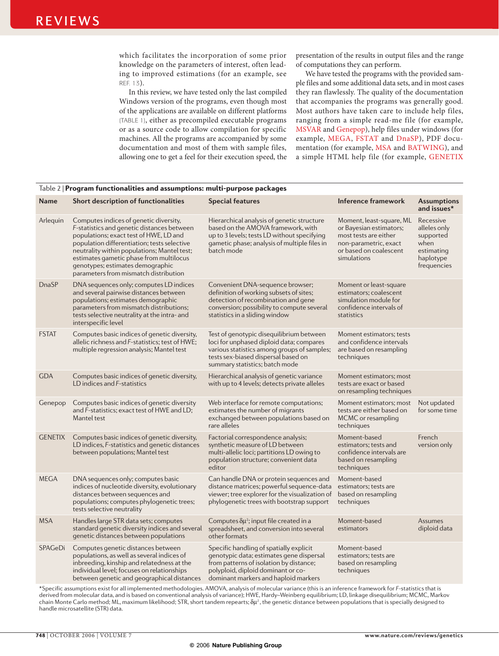which facilitates the incorporation of some prior knowledge on the parameters of interest, often leading to improved estimations (for an example, see REF. 13).

In this review, we have tested only the last compiled Windows version of the programs, even though most of the applications are available on different platforms (TABLE 1), either as precompiled executable programs or as a source code to allow compilation for specific machines. All the programs are accompanied by some documentation and most of them with sample files, allowing one to get a feel for their execution speed, the presentation of the results in output files and the range of computations they can perform.

We have tested the programs with the provided sample files and some additional data sets, and in most cases they ran flawlessly. The quality of the documentation that accompanies the programs was generally good. Most authors have taken care to include help files, ranging from a simple read-me file (for example, MSVAR and Genepop), help files under windows (for example, MEGA, FSTAT and DnaSP), PDF documentation (for example, MSA and BATWING), and a simple HTML help file (for example, GENETIX

| lable 2   Program functionalities and assumptions: multi-purpose packages |                                                                                                                                                                                                                                                                                                                                                      |                                                                                                                                                                                                              |                                                                                                                                                |                                                                                          |  |  |
|---------------------------------------------------------------------------|------------------------------------------------------------------------------------------------------------------------------------------------------------------------------------------------------------------------------------------------------------------------------------------------------------------------------------------------------|--------------------------------------------------------------------------------------------------------------------------------------------------------------------------------------------------------------|------------------------------------------------------------------------------------------------------------------------------------------------|------------------------------------------------------------------------------------------|--|--|
| <b>Name</b>                                                               | Short description of functionalities                                                                                                                                                                                                                                                                                                                 | <b>Special features</b>                                                                                                                                                                                      | Inference framework                                                                                                                            | <b>Assumptions</b><br>and issues*                                                        |  |  |
| Arlequin                                                                  | Computes indices of genetic diversity,<br>F-statistics and genetic distances between<br>populations; exact test of HWE, LD and<br>population differentiation; tests selective<br>neutrality within populations; Mantel test;<br>estimates gametic phase from multilocus<br>genotypes; estimates demographic<br>parameters from mismatch distribution | Hierarchical analysis of genetic structure<br>based on the AMOVA framework, with<br>up to 3 levels; tests LD without specifying<br>gametic phase; analysis of multiple files in<br>batch mode                | Moment, least-square, ML<br>or Bayesian estimators;<br>most tests are either<br>non-parametric, exact<br>or based on coalescent<br>simulations | Recessive<br>alleles only<br>supported<br>when<br>estimating<br>haplotype<br>frequencies |  |  |
| DnaSP                                                                     | DNA sequences only; computes LD indices<br>and several pairwise distances between<br>populations; estimates demographic<br>parameters from mismatch distributions;<br>tests selective neutrality at the intra- and<br>interspecific level                                                                                                            | Convenient DNA-sequence browser;<br>definition of working subsets of sites;<br>detection of recombination and gene<br>conversion; possibility to compute several<br>statistics in a sliding window           | Moment or least-square<br>estimators; coalescent<br>simulation module for<br>confidence intervals of<br>statistics                             |                                                                                          |  |  |
| <b>FSTAT</b>                                                              | Computes basic indices of genetic diversity,<br>allelic richness and F-statistics; test of HWE;<br>multiple regression analysis; Mantel test                                                                                                                                                                                                         | Test of genotypic disequilibrium between<br>loci for unphased diploid data; compares<br>various statistics among groups of samples;<br>tests sex-biased dispersal based on<br>summary statistics; batch mode | Moment estimators; tests<br>and confidence intervals<br>are based on resampling<br>techniques                                                  |                                                                                          |  |  |
| <b>GDA</b>                                                                | Computes basic indices of genetic diversity,<br>LD indices and F-statistics                                                                                                                                                                                                                                                                          | Hierarchical analysis of genetic variance<br>with up to 4 levels; detects private alleles                                                                                                                    | Moment estimators: most<br>tests are exact or based<br>on resampling techniques                                                                |                                                                                          |  |  |
| Genepop                                                                   | Computes basic indices of genetic diversity<br>and F-statistics; exact test of HWE and LD;<br>Mantel test                                                                                                                                                                                                                                            | Web interface for remote computations;<br>estimates the number of migrants<br>exchanged between populations based on<br>rare alleles                                                                         | Moment estimators; most<br>tests are either based on<br>MCMC or resampling<br>techniques                                                       | Not updated<br>for some time                                                             |  |  |
| <b>GENETIX</b>                                                            | Computes basic indices of genetic diversity,<br>LD indices, F-statistics and genetic distances<br>between populations; Mantel test                                                                                                                                                                                                                   | Factorial correspondence analysis;<br>synthetic measure of LD between<br>multi-allelic loci; partitions LD owing to<br>population structure; convenient data<br>editor                                       | Moment-based<br>estimators; tests and<br>confidence intervals are<br>based on resampling<br>techniques                                         | French<br>version only                                                                   |  |  |
| <b>MEGA</b>                                                               | DNA sequences only; computes basic<br>indices of nucleotide diversity, evolutionary<br>distances between sequences and<br>populations; computes phylogenetic trees;<br>tests selective neutrality                                                                                                                                                    | Can handle DNA or protein sequences and<br>distance matrices; powerful sequence-data<br>viewer; tree explorer for the visualization of<br>phylogenetic trees with bootstrap support                          | Moment-based<br>estimators; tests are<br>based on resampling<br>techniques                                                                     |                                                                                          |  |  |
| <b>MSA</b>                                                                | Handles large STR data sets; computes<br>standard genetic diversity indices and several<br>genetic distances between populations                                                                                                                                                                                                                     | Computes $\delta \mu^2$ ; input file created in a<br>spreadsheet, and conversion into several<br>other formats                                                                                               | Moment-based<br>estimators                                                                                                                     | <b>Assumes</b><br>diploid data                                                           |  |  |
| SPAGeDi                                                                   | Computes genetic distances between<br>populations, as well as several indices of<br>inbreeding, kinship and relatedness at the<br>individual level; focuses on relationships<br>between genetic and geographical distances                                                                                                                           | Specific handling of spatially explicit<br>genotypic data; estimates gene dispersal<br>from patterns of isolation by distance;<br>polyploid, diploid dominant or co-<br>dominant markers and haploid markers | Moment-based<br>estimators; tests are<br>based on resampling<br>techniques                                                                     |                                                                                          |  |  |

\*Specific assumptions exist for all implemented methodologies. AMOVA, analysis of molecular variance (this is an inference framework for F-statistics that is derived from molecular data, and is based on conventional analysis of variance); HWE, Hardy-Weinberg equilibrium; LD, linkage disequilibrium; MCMC, Markov<br>chain Monte Carlo method; ML, maximum likelihood; STR, short tande handle microsatellite (STR) data.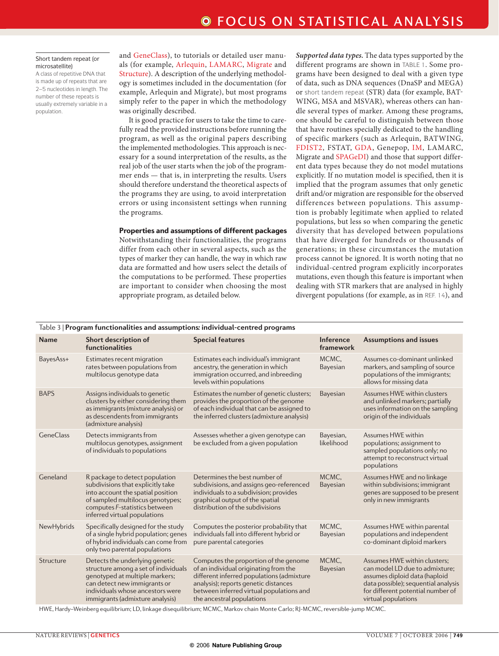#### Short tandem repeat (or microsatellite)

A class of repetitive DNA that is made up of repeats that are 2–5 nucleotides in length. The number of these repeats is usually extremely variable in a population.

and GeneClass), to tutorials or detailed user manuals (for example, Arlequin, LAMARC, Migrate and Structure). A description of the underlying methodology is sometimes included in the documentation (for example, Arlequin and Migrate), but most programs simply refer to the paper in which the methodology was originally described.

It is good practice for users to take the time to carefully read the provided instructions before running the program, as well as the original papers describing the implemented methodologies. This approach is necessary for a sound interpretation of the results, as the real job of the user starts when the job of the programmer ends — that is, in interpreting the results. Users should therefore understand the theoretical aspects of the programs they are using, to avoid interpretation errors or using inconsistent settings when running the programs.

#### Properties and assumptions of different packages

Notwithstanding their functionalities, the programs differ from each other in several aspects, such as the types of marker they can handle, the way in which raw data are formatted and how users select the details of the computations to be performed. These properties are important to consider when choosing the most appropriate program, as detailed below.

**Supported data types.** The data types supported by the different programs are shown in TABLE 1. Some programs have been designed to deal with a given type of data, such as DNA sequences (DnaSP and MEGA) or short tandem repeat (STR) data (for example, BAT-WING, MSA and MSVAR), whereas others can handle several types of marker. Among these programs, one should be careful to distinguish between those that have routines specially dedicated to the handling of specific markers (such as Arlequin, BATWING, FDIST2, FSTAT, GDA, Genepop, IM, LAMARC, Migrate and SPAGeDI) and those that support different data types because they do not model mutations explicitly. If no mutation model is specified, then it is implied that the program assumes that only genetic drift and/or migration are responsible for the observed differences between populations. This assumption is probably legitimate when applied to related populations, but less so when comparing the genetic diversity that has developed between populations that have diverged for hundreds or thousands of generations; in these circumstances the mutation process cannot be ignored. It is worth noting that no individual-centred program explicitly incorporates mutations, even though this feature is important when dealing with STR markers that are analysed in highly divergent populations (for example, as in REF. 14), and

| Table 3   Program functionalities and assumptions: individual-centred programs |                                                                                                                                                                                                                 |                                                                                                                                                                                                                                              |                         |                                                                                                                                                                                                    |  |
|--------------------------------------------------------------------------------|-----------------------------------------------------------------------------------------------------------------------------------------------------------------------------------------------------------------|----------------------------------------------------------------------------------------------------------------------------------------------------------------------------------------------------------------------------------------------|-------------------------|----------------------------------------------------------------------------------------------------------------------------------------------------------------------------------------------------|--|
| <b>Name</b>                                                                    | Short description of<br>functionalities                                                                                                                                                                         | <b>Special features</b>                                                                                                                                                                                                                      | Inference<br>framework  | <b>Assumptions and issues</b>                                                                                                                                                                      |  |
| BayesAss+                                                                      | Estimates recent migration<br>rates between populations from<br>multilocus genotype data                                                                                                                        | Estimates each individual's immigrant<br>ancestry, the generation in which<br>immigration occurred, and inbreeding<br>levels within populations                                                                                              | MCMC,<br>Bayesian       | Assumes co-dominant unlinked<br>markers, and sampling of source<br>populations of the immigrants;<br>allows for missing data                                                                       |  |
| <b>BAPS</b>                                                                    | Assigns individuals to genetic<br>clusters by either considering them<br>as immigrants (mixture analysis) or<br>as descendents from immigrants<br>(admixture analysis)                                          | Estimates the number of genetic clusters;<br>provides the proportion of the genome<br>of each individual that can be assigned to<br>the inferred clusters (admixture analysis)                                                               | Bayesian                | Assumes HWE within clusters<br>and unlinked markers; partially<br>uses information on the sampling<br>origin of the individuals                                                                    |  |
| GeneClass                                                                      | Detects immigrants from<br>multilocus genotypes, assignment<br>of individuals to populations                                                                                                                    | Assesses whether a given genotype can<br>be excluded from a given population                                                                                                                                                                 | Bayesian,<br>likelihood | Assumes HWE within<br>populations; assignment to<br>sampled populations only; no<br>attempt to reconstruct virtual<br>populations                                                                  |  |
| Geneland                                                                       | R package to detect population<br>subdivisions that explicitly take<br>into account the spatial position<br>of sampled multilocus genotypes;<br>computes F-statistics between<br>inferred virtual populations   | Determines the best number of<br>subdivisions, and assigns geo-referenced<br>individuals to a subdivision; provides<br>graphical output of the spatial<br>distribution of the subdivisions                                                   | MCMC,<br>Bayesian       | Assumes HWE and no linkage<br>within subdivisions; immigrant<br>genes are supposed to be present<br>only in new immigrants                                                                         |  |
| NewHybrids                                                                     | Specifically designed for the study<br>of a single hybrid population; genes<br>of hybrid individuals can come from<br>only two parental populations                                                             | Computes the posterior probability that<br>individuals fall into different hybrid or<br>pure parental categories                                                                                                                             | MCMC,<br>Bayesian       | Assumes HWE within parental<br>populations and independent<br>co-dominant diploid markers                                                                                                          |  |
| Structure                                                                      | Detects the underlying genetic<br>structure among a set of individuals<br>genotyped at multiple markers;<br>can detect new immigrants or<br>individuals whose ancestors were<br>immigrants (admixture analysis) | Computes the proportion of the genome<br>of an individual originating from the<br>different inferred populations (admixture<br>analysis); reports genetic distances<br>between inferred virtual populations and<br>the ancestral populations | MCMC.<br>Bayesian       | Assumes HWE within clusters;<br>can model LD due to admixture;<br>assumes diploid data (haploid<br>data possible); sequential analysis<br>for different potential number of<br>virtual populations |  |

HWE, Hardy-Weinberg equilibrium; LD, linkage disequilibrium; MCMC, Markov chain Monte Carlo; RJ-MCMC, reversible-jump MCMC.

#### Table 3 | Program functionalities and assumptions: individual-centred programs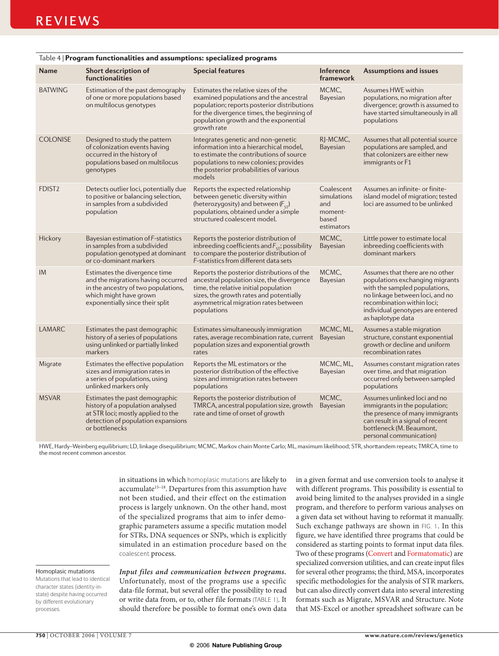| iable 4   Program functionalities and assumptions: specialized programs |                                                                                                                                                                         |                                                                                                                                                                                                                                    |                                                                    |                                                                                                                                                                                                                               |  |  |
|-------------------------------------------------------------------------|-------------------------------------------------------------------------------------------------------------------------------------------------------------------------|------------------------------------------------------------------------------------------------------------------------------------------------------------------------------------------------------------------------------------|--------------------------------------------------------------------|-------------------------------------------------------------------------------------------------------------------------------------------------------------------------------------------------------------------------------|--|--|
| <b>Name</b>                                                             | Short description of<br>functionalities                                                                                                                                 | <b>Special features</b>                                                                                                                                                                                                            | Inference<br>framework                                             | <b>Assumptions and issues</b>                                                                                                                                                                                                 |  |  |
| <b>BATWING</b>                                                          | Estimation of the past demography<br>of one or more populations based<br>on multilocus genotypes                                                                        | Estimates the relative sizes of the<br>examined populations and the ancestral<br>population; reports posterior distributions<br>for the divergence times, the beginning of<br>population growth and the exponential<br>growth rate | MCMC,<br>Bayesian                                                  | Assumes HWE within<br>populations, no migration after<br>divergence; growth is assumed to<br>have started simultaneously in all<br>populations                                                                                |  |  |
| <b>COLONISE</b>                                                         | Designed to study the pattern<br>of colonization events having<br>occurred in the history of<br>populations based on multilocus<br>genotypes                            | Integrates genetic and non-genetic<br>information into a hierarchical model,<br>to estimate the contributions of source<br>populations to new colonies; provides<br>the posterior probabilities of various<br>models               | RJ-MCMC,<br>Bayesian                                               | Assumes that all potential source<br>populations are sampled, and<br>that colonizers are either new<br>immigrants or F1                                                                                                       |  |  |
| FDIST <sub>2</sub>                                                      | Detects outlier loci, potentially due<br>to positive or balancing selection,<br>in samples from a subdivided<br>population                                              | Reports the expected relationship<br>between genetic diversity within<br>(heterozygosity) and between $(F_{ST})$<br>populations, obtained under a simple<br>structured coalescent model.                                           | Coalescent<br>simulations<br>and<br>moment-<br>based<br>estimators | Assumes an infinite- or finite-<br>island model of migration; tested<br>loci are assumed to be unlinked                                                                                                                       |  |  |
| Hickory                                                                 | Bayesian estimation of F-statistics<br>in samples from a subdivided<br>population genotyped at dominant<br>or co-dominant markers                                       | Reports the posterior distribution of<br>inbreeding coefficients and $F_{ST}$ ; possibility<br>to compare the posterior distribution of<br>F-statistics from different data sets                                                   | MCMC,<br>Bayesian                                                  | Little power to estimate local<br>inbreeding coefficients with<br>dominant markers                                                                                                                                            |  |  |
| <b>IM</b>                                                               | Estimates the divergence time<br>and the migrations having occurred<br>in the ancestry of two populations,<br>which might have grown<br>exponentially since their split | Reports the posterior distributions of the<br>ancestral population size, the divergence<br>time, the relative initial population<br>sizes, the growth rates and potentially<br>asymmetrical migration rates between<br>populations | MCMC,<br>Bayesian                                                  | Assumes that there are no other<br>populations exchanging migrants<br>with the sampled populations,<br>no linkage between loci, and no<br>recombination within loci;<br>individual genotypes are entered<br>as haplotype data |  |  |
| LAMARC                                                                  | Estimates the past demographic<br>history of a series of populations<br>using unlinked or partially linked<br>markers                                                   | Estimates simultaneously immigration<br>rates, average recombination rate, current<br>population sizes and exponential growth<br>rates                                                                                             | MCMC, ML,<br>Bayesian                                              | Assumes a stable migration<br>structure, constant exponential<br>growth or decline and uniform<br>recombination rates                                                                                                         |  |  |
| Migrate                                                                 | Estimates the effective population<br>sizes and immigration rates in<br>a series of populations, using<br>unlinked markers only                                         | Reports the ML estimators or the<br>posterior distribution of the effective<br>sizes and immigration rates between<br>populations                                                                                                  | MCMC, ML,<br>Bayesian                                              | Assumes constant migration rates<br>over time, and that migration<br>occurred only between sampled<br>populations                                                                                                             |  |  |
| <b>MSVAR</b>                                                            | Estimates the past demographic<br>history of a population analysed<br>at STR loci; mostly applied to the<br>detection of population expansions<br>or bottlenecks        | Reports the posterior distribution of<br>TMRCA, ancestral population size, growth<br>rate and time of onset of growth                                                                                                              | MCMC,<br>Bayesian                                                  | Assumes unlinked loci and no<br>immigrants in the population;<br>the presence of many immigrants<br>can result in a signal of recent<br>bottleneck (M. Beaumont,<br>personal communication)                                   |  |  |

#### Table 4 | Program functionalities and assumptions: specialized programs

HWE, Hardy-Weinberg equilibrium; LD, linkage disequilibrium; MCMC, Markov chain Monte Carlo; ML, maximum likelihood; STR, shorttandem repeats; TMRCA, time to the most recent common ancestor.

> in situations in which homoplasic mutations are likely to accumulate<sup>15-18</sup>. Departures from this assumption have not been studied, and their effect on the estimation process is largely unknown. On the other hand, most of the specialized programs that aim to infer demographic parameters assume a specific mutation model for STRs, DNA sequences or SNPs, which is explicitly simulated in an estimation procedure based on the coalescent process.

#### Homoplasic mutations

Mutations that lead to identical character states (identity-instate) despite having occurred by different evolutionary processes.

**Input files and communication between programs.** Unfortunately, most of the programs use a specific data-file format, but several offer the possibility to read or write data from, or to, other file formats (TABLE 1). It should therefore be possible to format one's own data in a given format and use conversion tools to analyse it with different programs. This possibility is essential to avoid being limited to the analyses provided in a single program, and therefore to perform various analyses on a given data set without having to reformat it manually. Such exchange pathways are shown in FIG. 1. In this figure, we have identified three programs that could be considered as starting points to format input data files. Two of these programs (Convert and Formatomatic) are specialized conversion utilities, and can create input files for several other programs; the third, MSA, incorporates specific methodologies for the analysis of STR markers, but can also directly convert data into several interesting formats such as Migrate, MSVAR and Structure. Note that MS-Excel or another spreadsheet software can be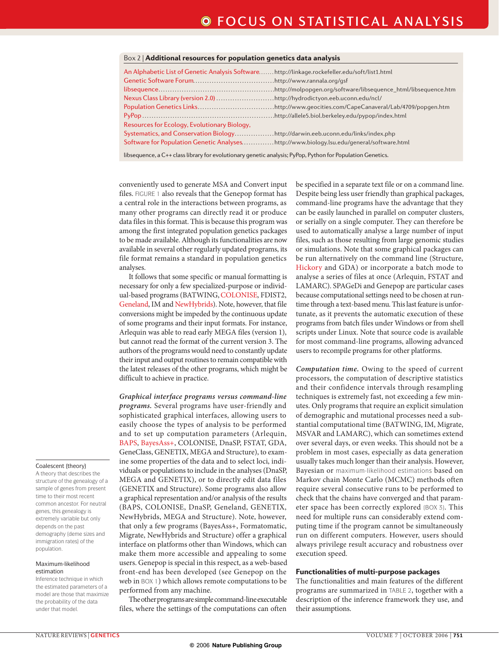#### $Box 2$  | Additional resources for population genetics data analysis

| An Alphabetic List of Genetic Analysis Softwarehttp://linkage.rockefeller.edu/soft/list1.html |  |
|-----------------------------------------------------------------------------------------------|--|
|                                                                                               |  |
|                                                                                               |  |
| Nexus Class Library (version 2.0) http://hydrodictyon.eeb.uconn.edu/ncl/                      |  |
|                                                                                               |  |
|                                                                                               |  |
| Resources for Ecology, Evolutionary Biology,                                                  |  |
| Systematics, and Conservation Biologyhttp://darwin.eeb.uconn.edu/links/index.php              |  |
| Software for Population Genetic Analyseshttp://www.biology.lsu.edu/general/software.html      |  |
|                                                                                               |  |

libsequence, a C++ class library for evolutionary genetic analysis; PyPop, Python for Population Genetics.

conveniently used to generate MSA and Convert input files. FIGURE 1 also reveals that the Genepop format has a central role in the interactions between programs, as many other programs can directly read it or produce data files in this format. This is because this program was among the first integrated population genetics packages to be made available. Although its functionalities are now available in several other regularly updated programs, its file format remains a standard in population genetics analyses.

It follows that some specific or manual formatting is necessary for only a few specialized-purpose or individual-based programs (BATWING, COLONISE, FDIST2, Geneland, IM and NewHybrids). Note, however, that file conversions might be impeded by the continuous update of some programs and their input formats. For instance, Arlequin was able to read early MEGA files (version 1), but cannot read the format of the current version 3. The authors of the programs would need to constantly update their input and output routines to remain compatible with the latest releases of the other programs, which might be difficult to achieve in practice.

**Graphical interface programs versus command-line programs.** Several programs have user-friendly and sophisticated graphical interfaces, allowing users to easily choose the types of analysis to be performed and to set up computation parameters (Arlequin, BAPS, BayesAss+, COLONISE, DnaSP, FSTAT, GDA, GeneClass, GENETIX, MEGA and Structure), to examine some properties of the data and to select loci, individuals or populations to include in the analyses (DnaSP, MEGA and GENETIX), or to directly edit data files (GENETIX and Structure). Some programs also allow a graphical representation and/or analysis of the results (BAPS, COLONISE, DnaSP, Geneland, GENETIX, NewHybrids, MEGA and Structure). Note, however, that only a few programs (BayesAss+, Formatomatic, Migrate, NewHybrids and Structure) offer a graphical interface on platforms other than Windows, which can make them more accessible and appealing to some users. Genepop is special in this respect, as a web-based front-end has been developed (see Genepop on the web in BOX 1) which allows remote computations to be performed from any machine.

The other programs are simple command-line executable files, where the settings of the computations can often be specified in a separate text file or on a command line. Despite being less user friendly than graphical packages, command-line programs have the advantage that they can be easily launched in parallel on computer clusters, or serially on a single computer. They can therefore be used to automatically analyse a large number of input files, such as those resulting from large genomic studies or simulations. Note that some graphical packages can be run alternatively on the command line (Structure, Hickory and GDA) or incorporate a batch mode to analyse a series of files at once (Arlequin, FSTAT and LAMARC). SPAGeDi and Genepop are particular cases because computational settings need to be chosen at runtime through a text-based menu. This last feature is unfortunate, as it prevents the automatic execution of these programs from batch files under Windows or from shell scripts under Linux. Note that source code is available for most command-line programs, allowing advanced users to recompile programs for other platforms.

**Computation time.** Owing to the speed of current processors, the computation of descriptive statistics and their confidence intervals through resampling techniques is extremely fast, not exceeding a few minutes. Only programs that require an explicit simulation of demographic and mutational processes need a substantial computational time (BATWING, IM, Migrate, MSVAR and LAMARC), which can sometimes extend over several days, or even weeks. This should not be a problem in most cases, especially as data generation usually takes much longer than their analysis. However, Bayesian or maximum-likelihood estimations based on Markov chain Monte Carlo (MCMC) methods often require several consecutive runs to be performed to check that the chains have converged and that parameter space has been correctly explored (BOX 3). This need for multiple runs can considerably extend computing time if the program cannot be simultaneously run on different computers. However, users should always privilege result accuracy and robustness over execution speed.

#### Functionalities of multi-purpose packages

The functionalities and main features of the different programs are summarized in TABLE 2, together with a description of the inference framework they use, and their assumptions.

#### Coalescent (theory)

A theory that describes the structure of the genealogy of a sample of genes from present time to their most recent common ancestor. For neutral genes, this genealogy is extremely variable but only depends on the past demography (deme sizes and immigration rates) of the population.

#### Maximum-likelihood estimation

Inference technique in which the estimated parameters of a model are those that maximize the probability of the data under that model.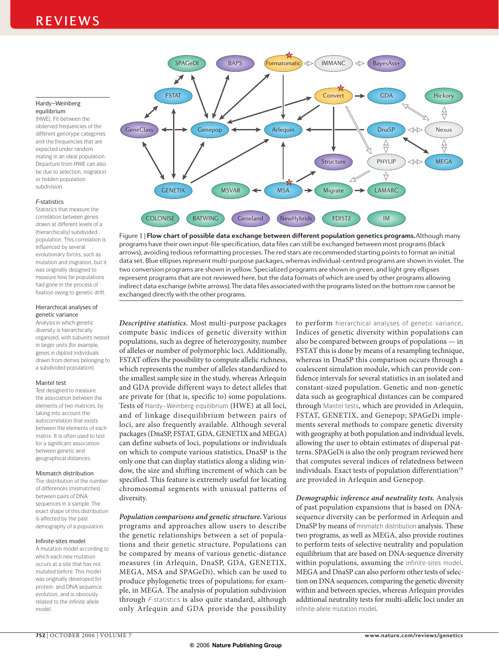#### Hardy–Weinberg equilibrium

(HWE). Fit between the observed frequencies of the different genotype categories and the frequencies that are expected under random mating in an ideal population. Departure from HWE can also be due to selection, migration or hidden population subdivision.

#### *F*-statistics

Statistics that measure the correlation between genes drawn at different levels of a (hierarchically) subdivided population. This correlation is influenced by several evolutionary forces, such as mutation and migration, but it was originally designed to measure how far populations had gone in the process of fixation owing to genetic drift.

#### Hierarchical analyses of genetic variance

Analysis in which genetic diversity is hierarchically organized, with subunits nested in larger units (for example, genes in diploid individuals drawn from demes belonging to a subdivided population).

#### Mantel test

Test designed to measure the association between the elements of two matrices, by taking into account the autocorrelation that exists between the elements of each matrix. It is often used to test for a significant association between genetic and geographical distances.

#### Mismatch distribution

The distribution of the number of differences (mismatches) between pairs of DNA sequences in a sample. The exact shape of this distribution is affected by the past demography of a population.

#### Infinite-sites model

A mutation model according to which each new mutation occurs at a site that has not mutated before. This model was originally developed for protein- and DNA-sequence evolution, and is obviously related to the infinite allele model.



Figure 1 | Flow chart of possible data exchange between different population genetics programs. Although many programs have their own input-file specification, data files can still be exchanged between most programs (black arrows), avoiding tedious reformatting processes. The red stars are recommended starting points to format an initial data set. Blue ellipses represent multi-purpose packages, whereas individual-centred programs are shown in violet. The two conversion programs are shown in yellow. Specialized programs are shown in green, and light grey ellipses represent programs that are not reviewed here, but the data formats of which are used by other programs allowing indirect data exchange (white arrows). The data files associated with the programs listed on the bottom row cannot be exchanged directly with the other programs.

**Descriptive statistics.** Most multi-purpose packages compute basic indices of genetic diversity within populations, such as degree of heterozygosity, number of alleles or number of polymorphic loci. Additionally, FSTAT offers the possibility to compute allelic richness, which represents the number of alleles standardized to the smallest sample size in the study, whereas Arlequin and GDA provide different ways to detect alleles that are private for (that is, specific to) some populations. Tests of Hardy–Weinberg equilibrium (HWE) at all loci, and of linkage disequilibrium between pairs of loci, are also frequently available. Although several packages (DnaSP, FSTAT, GDA, GENETIX and MEGA) can define subsets of loci, populations or individuals on which to compute various statistics, DnaSP is the only one that can display statistics along a sliding window, the size and shifting increment of which can be specified. This feature is extremely useful for locating chromosomal segments with unusual patterns of diversity.

**Population comparisons and genetic structure.** Various programs and approaches allow users to describe the genetic relationships between a set of populations and their genetic structure. Populations can be compared by means of various genetic-distance measures (in Arlequin, DnaSP, GDA, GENETIX, MEGA, MSA and SPAGeDi), which can be used to produce phylogenetic trees of populations; for example, in MEGA. The analysis of population subdivision through *F*-statistics is also quite standard, although only Arlequin and GDA provide the possibility to perform hierarchical analyses of genetic variance. Indices of genetic diversity within populations can also be compared between groups of populations — in FSTAT this is done by means of a resampling technique, whereas in DnaSP this comparison occurs through a coalescent simulation module, which can provide confidence intervals for several statistics in an isolated and constant-sized population. Genetic and non-genetic data such as geographical distances can be compared through Mantel tests, which are provided in Arlequin, FSTAT, GENETIX, and Genepop; SPAGeDi implements several methods to compare genetic diversity with geography at both population and individual levels, allowing the user to obtain estimates of dispersal patterns. SPAGeDi is also the only program reviewed here that computes several indices of relatedness between individuals. Exact tests of population differentiation<sup>19</sup> are provided in Arlequin and Genepop.

**Demographic inference and neutrality tests.** Analysis of past population expansions that is based on DNAsequence diversity can be performed in Arlequin and DnaSP by means of mismatch distribution analysis. These two programs, as well as MEGA, also provide routines to perform tests of selective neutrality and population equilibrium that are based on DNA-sequence diversity within populations, assuming the infinite-sites model. MEGA and DnaSP can also perform other tests of selection on DNA sequences, comparing the genetic diversity within and between species, whereas Arlequin provides additional neutrality tests for multi-allelic loci under an infinite-allele mutation model.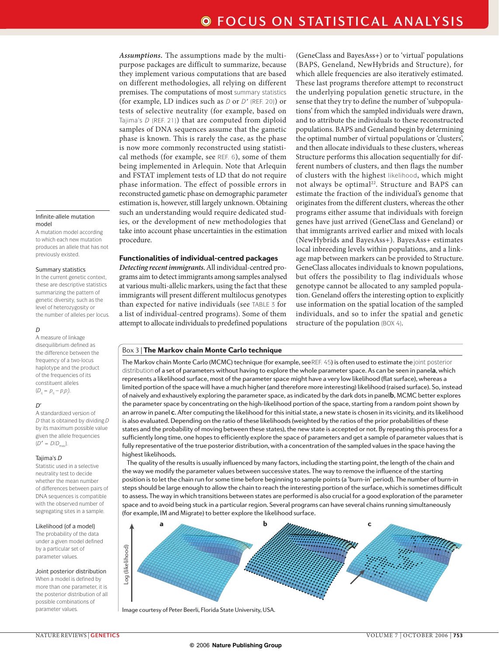**Assumptions.** The assumptions made by the multipurpose packages are difficult to summarize, because they implement various computations that are based on different methodologies, all relying on different premises. The computations of most summary statistics (for example, LD indices such as *D* or *D*′ (REF. 20)) or tests of selective neutrality (for example, based on Tajima's *D* (REF. 21)) that are computed from diploid samples of DNA sequences assume that the gametic phase is known. This is rarely the case, as the phase is now more commonly reconstructed using statistical methods (for example, see REF. 6), some of them being implemented in Arlequin. Note that Arlequin and FSTAT implement tests of LD that do not require phase information. The effect of possible errors in reconstructed gametic phase on demographic parameter estimation is, however, still largely unknown. Obtaining such an understanding would require dedicated studies, or the development of new methodologies that take into account phase uncertainties in the estimation procedure.

#### **Functionalities of individual-centred packages**

**Detecting recent immigrants.** All individual-centred programs aim to detect immigrants among samples analysed at various multi-allelic markers, using the fact that these immigrants will present different multilocus genotypes than expected for native individuals (see TABLE 3 for a list of individual-centred programs). Some of them attempt to allocate individuals to predefined populations (GeneClass and BayesAss+) or to 'virtual' populations (BAPS, Geneland, NewHybrids and Structure), for which allele frequencies are also iteratively estimated. These last programs therefore attempt to reconstruct the underlying population genetic structure, in the sense that they try to define the number of 'subpopulations' from which the sampled individuals were drawn, and to attribute the individuals to these reconstructed populations. BAPS and Geneland begin by determining the optimal number of virtual populations or 'clusters', and then allocate individuals to these clusters, whereas Structure performs this allocation sequentially for different numbers of clusters, and then flags the number of clusters with the highest likelihood, which might not always be optimal<sup>22</sup>. Structure and BAPS can estimate the fraction of the individual's genome that originates from the different clusters, whereas the other programs either assume that individuals with foreign genes have just arrived (GeneClass and Geneland) or that immigrants arrived earlier and mixed with locals (NewHybrids and BayesAss+). BayesAss+ estimates local inbreeding levels within populations, and a linkage map between markers can be provided to Structure. GeneClass allocates individuals to known populations, but offers the possibility to flag individuals whose genotype cannot be allocated to any sampled population. Geneland offers the interesting option to explicitly use information on the spatial location of the sampled individuals, and so to infer the spatial and genetic structure of the population (BOX 4).

#### Box 3 | The Markov chain Monte Carlo technique

The Markov chain Monte Carlo (MCMC) technique (for example, seeREF. 45) is often used to estimate the joint posterior distribution of a set of parameters without having to explore the whole parameter space. As can be seen in panela, which represents a likelihood surface, most of the parameter space might have a very low likelihood (flat surface), whereas a limited portion of the space will have a much higher (and therefore more interesting) likelihood (raised surface). So, instead of naively and exhaustively exploring the parameter space, as indicated by the dark dots in panelb, MCMC better explores the parameter space by concentrating on the high-likelihood portion of the space, starting from a random point shown by an arrow in panel c. After computing the likelihood for this initial state, a new state is chosen in its vicinity, and its likelihood is also evaluated. Depending on the ratio of these likelihoods (weighted by the ratios of the prior probabilities of these states and the probability of moving between these states), the new state is accepted or not. By repeating this process for a sufficiently long time, one hopes to efficiently explore the space of parameters and get a sample of parameter values that is fully representative of the true posterior distribution, with a concentration of the sampled values in the space having the highest likelihoods.

The quality of the results is usually influenced by many factors, including the starting point, the length of the chain and the way we modify the parameter values between successive states. The way to remove the influence of the starting position is to let the chain run for some time before beginning to sample points (a 'burn-in' period). The number of burn-in steps should be large enough to allow the chain to reach the interesting portion of the surface, which is sometimes difficult to assess. The way in which transitions between states are performed is also crucial for a good exploration of the parameter space and to avoid being stuck in a particular region. Several programs can have several chains running simultaneously (for example, IM and Migrate) to better explore the likelihood surface.



Image courtesy of Peter Beerli, Florida State University, USA.

#### Infinite-allele mutation model

A mutation model according to which each new mutation produces an allele that has not previously existed.

#### Summary statistics

In the current genetic context, these are descriptive statistics summarizing the pattern of genetic diversity, such as the level of heterozygosity or the number of alleles per locus.

#### *D*

A measure of linkage disequilibrium defined as the difference between the frequency of a two-locus haplotype and the product of the frequencies of its constituent alleles  $(D_{ij} = p_{ij} - p_i p_j).$ 

#### *D*′

A standardized version of *D* that is obtained by dividing *D* by its maximum possible value given the allele frequencies  $(D' = D/D_{\text{max}})$ .

#### Tajima's *D*

Statistic used in a selective neutrality test to decide whether the mean number of differences between pairs of DNA sequences is compatible with the observed number of segregating sites in a sample.

#### Likelihood (of a model)

The probability of the data under a given model defined by a particular set of parameter values.

Joint posterior distribution

When a model is defined by more than one parameter, it is the posterior distribution of all possible combinations of parameter values.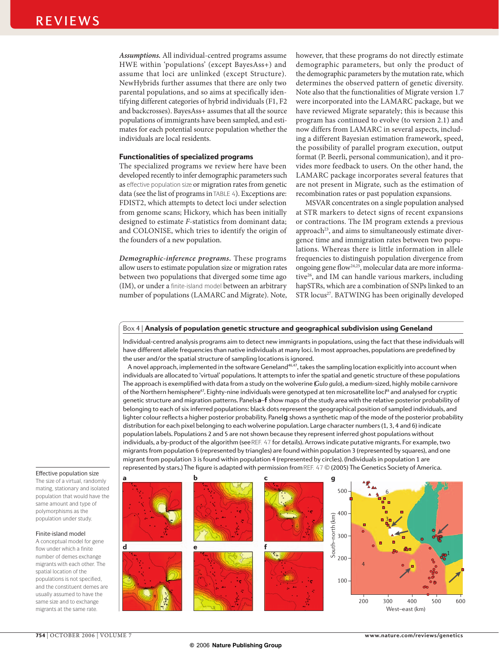**Assumptions.** All individual-centred programs assume HWE within 'populations' (except BayesAss+) and assume that loci are unlinked (except Structure). NewHybrids further assumes that there are only two parental populations, and so aims at specifically identifying different categories of hybrid individuals (F1, F2 and backcrosses). BayesAss+ assumes that all the source populations of immigrants have been sampled, and estimates for each potential source population whether the individuals are local residents.

#### **Functionalities of specialized programs**

The specialized programs we review here have been developed recently to infer demographic parameters such as effective population size or migration rates from genetic data (see the list of programs in TABLE 4). Exceptions are: FDIST2, which attempts to detect loci under selection from genome scans; Hickory, which has been initially designed to estimate F-statistics from dominant data; and COLONISE, which tries to identify the origin of the founders of a new population.

**Demographic-inference programs.** These programs allow users to estimate population size or migration rates between two populations that diverged some time ago (IM), or under a finite-island model between an arbitrary number of populations (LAMARC and Migrate). Note, however, that these programs do not directly estimate demographic parameters, but only the product of the demographic parameters by the mutation rate, which determines the observed pattern of genetic diversity. Note also that the functionalities of Migrate version 1.7 were incorporated into the LAMARC package, but we have reviewed Migrate separately; this is because this program has continued to evolve (to version 2.1) and now differs from LAMARC in several aspects, including a different Bayesian estimation framework, speed, the possibility of parallel program execution, output format (P. Beerli, personal communication), and it provides more feedback to users. On the other hand, the LAMARC package incorporates several features that are not present in Migrate, such as the estimation of recombination rates or past population expansions.

MSVAR concentrates on a single population analysed at STR markers to detect signs of recent expansions or contractions. The IM program extends a previous approach<sup>23</sup>, and aims to simultaneously estimate divergence time and immigration rates between two populations. Whereas there is little information in allele frequencies to distinguish population divergence from ongoing gene flow24,25, molecular data are more informative<sup>26</sup>, and IM can handle various markers, including hapSTRs, which are a combination of SNPs linked to an STR locus<sup>27</sup>. BATWING has been originally developed

#### $|Box4|$  Analysis of population genetic structure and geographical subdivision using Geneland

Individual-centred analysis programs aim to detect new immigrants in populations, using the fact that these individuals will have different allele frequencies than native individuals at many loci. In most approaches, populations are predefined by the user and/or the spatial structure of sampling locations is ignored.

A novel approach, implemented in the software Geneland<sup>46,47</sup>, takes the sampling location explicitly into account when individuals are allocated to 'virtual' populations. It attempts to infer the spatial and genetic structure of these populations The approach is exemplified with data from a study on the wolverine (Gulo gulo), a medium-sized, highly mobile carnivore of the Northern hemisphere<sup>47</sup>. Eighty-nine individuals were genotyped at ten microsatellite loci<sup>ts</sup> and analysed for cryptic genetic structure and migration patterns. Panelsa-f show maps of the study area with the relative posterior probability of belonging to each of six inferred populations: black dots represent the geographical position of sampled individuals, and lighter colour reflects a higher posterior probability. Panel**g** shows a synthetic map of the mode of the posterior probability distribution for each pixel belonging to each wolverine population. Large character numbers (1, 3, 4 and 6) indicate population labels. Populations 2 and 5 are not shown because they represent inferred ghost populations without individuals, a by-product of the algorithm (see REF. 47 for details). Arrows indicate putative migrants. For example, two  $migrants from population 6 (represented by triangles) are found within population 3 (represented by squares), and one$ migrant from population 3 is found within population 4 (represented by circles). (Individuals in population 1 are represented by stars.) The figure is adapted with permission from REF. 47 © (2005) The Genetics Society of America.

#### Effective population size

The size of a virtual, randomly mating, stationary and isolated population that would have the same amount and type of polymorphisms as the population under study.

#### Finite-island model

A conceptual model for gene flow under which a finite number of demes exchange migrants with each other. The spatial location of the populations is not specified, and the constituent demes are usually assumed to have the same size and to exchange migrants at the same rate.

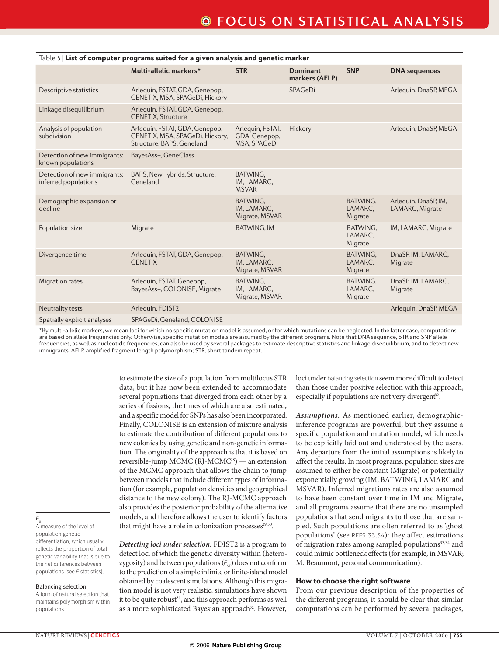| Table 5   List of computer programs suited for a given analysis and genetic marker |                                                                                                |                                                   |                                   |                                       |                                         |
|------------------------------------------------------------------------------------|------------------------------------------------------------------------------------------------|---------------------------------------------------|-----------------------------------|---------------------------------------|-----------------------------------------|
|                                                                                    | Multi-allelic markers*                                                                         | <b>STR</b>                                        | <b>Dominant</b><br>markers (AFLP) | <b>SNP</b>                            | <b>DNA</b> sequences                    |
| Descriptive statistics                                                             | Arlequin, FSTAT, GDA, Genepop,<br>GENETIX, MSA, SPAGeDi, Hickory                               |                                                   | SPAGeDi                           |                                       | Arlequin, DnaSP, MEGA                   |
| Linkage disequilibrium                                                             | Arlequin, FSTAT, GDA, Genepop,<br><b>GENETIX. Structure</b>                                    |                                                   |                                   |                                       |                                         |
| Analysis of population<br>subdivision                                              | Arlequin, FSTAT, GDA, Genepop,<br>GENETIX, MSA, SPAGeDi, Hickory,<br>Structure, BAPS, Geneland | Arlequin, FSTAT,<br>GDA, Genepop,<br>MSA, SPAGeDi | Hickory                           |                                       | Arlequin, DnaSP, MEGA                   |
| Detection of new immigrants:<br>known populations                                  | BayesAss+, GeneClass                                                                           |                                                   |                                   |                                       |                                         |
| Detection of new immigrants:<br>inferred populations                               | BAPS, NewHybrids, Structure,<br>Geneland                                                       | BATWING,<br>IM, LAMARC,<br><b>MSVAR</b>           |                                   |                                       |                                         |
| Demographic expansion or<br>decline                                                |                                                                                                | <b>BATWING.</b><br>IM, LAMARC,<br>Migrate, MSVAR  |                                   | BATWING.<br>LAMARC.<br>Migrate        | Arlequin, DnaSP, IM,<br>LAMARC, Migrate |
| Population size                                                                    | Migrate                                                                                        | <b>BATWING, IM</b>                                |                                   | <b>BATWING.</b><br>LAMARC.<br>Migrate | IM, LAMARC, Migrate                     |
| Divergence time                                                                    | Arlequin, FSTAT, GDA, Genepop,<br><b>GENETIX</b>                                               | <b>BATWING.</b><br>IM, LAMARC,<br>Migrate, MSVAR  |                                   | <b>BATWING.</b><br>LAMARC.<br>Migrate | DnaSP, IM, LAMARC,<br>Migrate           |
| Migration rates                                                                    | Arlequin, FSTAT, Genepop,<br>BayesAss+, COLONISE, Migrate                                      | BATWING.<br>IM, LAMARC,<br>Migrate, MSVAR         |                                   | BATWING,<br>LAMARC.<br>Migrate        | DnaSP, IM, LAMARC,<br>Migrate           |
| Neutrality tests                                                                   | Arlequin, FDIST2                                                                               |                                                   |                                   |                                       | Arlequin, DnaSP, MEGA                   |
| Spatially explicit analyses                                                        | SPAGeDi, Geneland, COLONISE                                                                    |                                                   |                                   |                                       |                                         |
|                                                                                    |                                                                                                |                                                   |                                   |                                       |                                         |

\*By multi-allelic markers, we mean loci for which no specific mutation model is assumed, or for which mutations can be neglected. In the latter case, computations are based on allele frequencies only. Otherwise, specific mutation models are assumed by the different programs. Note that DNA sequence, STR and SNP allele frequencies, as well as nucleotide frequencies, can also be used by several packages to estimate descriptive statistics and linkage disequilibrium, and to detect new immigrants. AFLP, amplified fragment length polymorphism: STR, short tandem repeat.

> to estimate the size of a population from multilocus STR data, but it has now been extended to accommodate several populations that diverged from each other by a series of fissions, the times of which are also estimated, and a specific model for SNPs has also been incorporated. Finally, COLONISE is an extension of mixture analysis to estimate the contribution of different populations to new colonies by using genetic and non-genetic information. The originality of the approach is that it is based on reversible-jump MCMC (RJ-MCMC28) — an extension of the MCMC approach that allows the chain to jump between models that include different types of information (for example, population densities and geographical distance to the new colony). The RJ-MCMC approach also provides the posterior probability of the alternative models, and therefore allows the user to identify factors that might have a role in colonization processes<sup>29,30</sup>.

### $F_{\rm ST}$

A measure of the level of population genetic differentiation, which usually reflects the proportion of total genetic variability that is due to the net differences between populations (see *F*-statistics).

#### Balancing selection

A form of natural selection that maintains polymorphism within populations.

**Detecting loci under selection.** FDIST2 is a program to detect loci of which the genetic diversity within (heterozygosity) and between populations  $(F_{ST})$  does not conform to the prediction of a simple infinite or finite-island model obtained by coalescent simulations. Although this migration model is not very realistic, simulations have shown it to be quite robust<sup>31</sup>, and this approach performs as well as a more sophisticated Bayesian approach<sup>32</sup>. However,

loci under balancing selection seem more difficult to detect than those under positive selection with this approach, especially if populations are not very divergent<sup>32</sup>.

**Assumptions.** As mentioned earlier, demographicinference programs are powerful, but they assume a specific population and mutation model, which needs to be explicitly laid out and understood by the users. Any departure from the initial assumptions is likely to affect the results. In most programs, population sizes are assumed to either be constant (Migrate) or potentially exponentially growing (IM, BATWING, LAMARC and MSVAR). Inferred migrations rates are also assumed to have been constant over time in IM and Migrate, and all programs assume that there are no unsampled populations that send migrants to those that are sampled. Such populations are often referred to as 'ghost populations' (see REFS 33,34): they affect estimations of migration rates among sampled populations $33,34$  and could mimic bottleneck effects (for example, in MSVAR; M. Beaumont, personal communication).

#### How to choose the right software

From our previous description of the properties of the different programs, it should be clear that similar computations can be performed by several packages,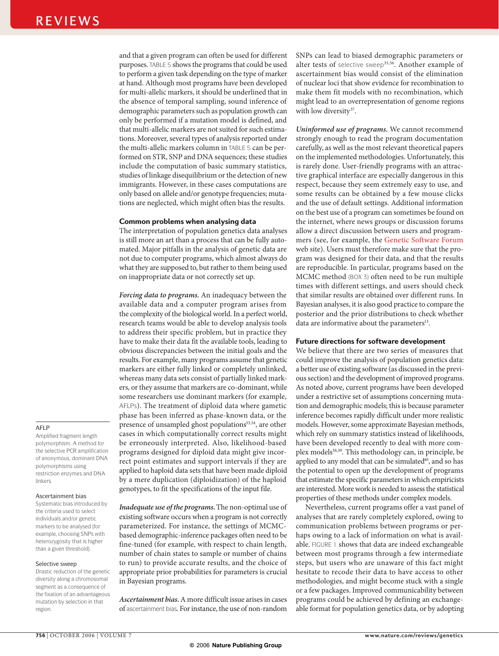and that a given program can often be used for different purposes. TABLE 5 shows the programs that could be used to perform a given task depending on the type of marker at hand. Although most programs have been developed for multi-allelic markers, it should be underlined that in the absence of temporal sampling, sound inference of demographic parameters such as population growth can only be performed if a mutation model is defined, and that multi-allelic markers are not suited for such estimations. Moreover, several types of analysis reported under the multi-allelic markers column in TABLE 5 can be performed on STR, SNP and DNA sequences; these studies include the computation of basic summary statistics, studies of linkage disequilibrium or the detection of new immigrants. However, in these cases computations are only based on allele and/or genotype frequencies; mutations are neglected, which might often bias the results.

#### Common problems when analysing data

The interpretation of population genetics data analyses is still more an art than a process that can be fully automated. Major pitfalls in the analysis of genetic data are not due to computer programs, which almost always do what they are supposed to, but rather to them being used on inappropriate data or not correctly set up.

**Forcing data to programs.** An inadequacy between the available data and a computer program arises from the complexity of the biological world. In a perfect world, research teams would be able to develop analysis tools to address their specific problem, but in practice they have to make their data fit the available tools, leading to obvious discrepancies between the initial goals and the results. For example, many programs assume that genetic markers are either fully linked or completely unlinked, whereas many data sets consist of partially linked markers, or they assume that markers are co-dominant, while some researchers use dominant markers (for example, AFLPs). The treatment of diploid data where gametic phase has been inferred as phase-known data, or the presence of unsampled ghost populations<sup>33,34</sup>, are other cases in which computationally correct results might be erroneously interpreted. Also, likelihood-based programs designed for diploid data might give incorrect point estimates and support intervals if they are applied to haploid data sets that have been made diploid by a mere duplication (diploidization) of the haploid genotypes, to fit the specifications of the input file.

**Inadequate use of the programs.** The non-optimal use of existing software occurs when a program is not correctly parameterized. For instance, the settings of MCMCbased demographic-inference packages often need to be fine-tuned (for example, with respect to chain length, number of chain states to sample or number of chains to run) to provide accurate results, and the choice of appropriate prior probabilities for parameters is crucial in Bayesian programs.

**Ascertainment bias.** A more difficult issue arises in cases of ascertainment bias. For instance, the use of non-random SNPs can lead to biased demographic parameters or alter tests of selective sweep<sup>35,36</sup>. Another example of ascertainment bias would consist of the elimination of nuclear loci that show evidence for recombination to make them fit models with no recombination, which might lead to an overrepresentation of genome regions with low diversity<sup>37</sup>.

**Uninformed use of programs.** We cannot recommend strongly enough to read the program documentation carefully, as well as the most relevant theoretical papers on the implemented methodologies. Unfortunately, this is rarely done. User-friendly programs with an attractive graphical interface are especially dangerous in this respect, because they seem extremely easy to use, and some results can be obtained by a few mouse clicks and the use of default settings. Additional information on the best use of a program can sometimes be found on the internet, where news groups or discussion forums allow a direct discussion between users and programmers (see, for example, the Genetic Software Forum web site). Users must therefore make sure that the program was designed for their data, and that the results are reproducible. In particular, programs based on the MCMC method (BOX 3) often need to be run multiple times with different settings, and users should check that similar results are obtained over different runs. In Bayesian analyses, it is also good practice to compare the posterior and the prior distributions to check whether data are informative about the parameters<sup>13</sup>.

#### Future directions for software development

We believe that there are two series of measures that could improve the analysis of population genetics data: a better use of existing software (as discussed in the previous section) and the development of improved programs. As noted above, current programs have been developed under a restrictive set of assumptions concerning mutation and demographic models; this is because parameter inference becomes rapidly difficult under more realistic models. However, some approximate Bayesian methods, which rely on summary statistics instead of likelihoods, have been developed recently to deal with more complex models<sup>38,39</sup>. This methodology can, in principle, be applied to any model that can be simulated<sup>40</sup>, and so has the potential to open up the development of programs that estimate the specific parameters in which empiricists are interested. More work is needed to assess the statistical properties of these methods under complex models.

Nevertheless, current programs offer a vast panel of analyses that are rarely completely explored, owing to communication problems between programs or perhaps owing to a lack of information on what is available. FIGURE 1 shows that data are indeed exchangeable between most programs through a few intermediate steps, but users who are unaware of this fact might hesitate to recode their data to have access to other methodologies, and might become stuck with a single or a few packages. Improved communicability between programs could be achieved by defining an exchangeable format for population genetics data, or by adopting

#### AFLP

Amplified fragment length polymorphism. A method for the selective PCR amplification of anonymous, dominant DNA polymorphisms using restriction enzymes and DNA linkers.

#### Ascertainment bias

Systematic bias introduced by the criteria used to select individuals and/or genetic markers to be analysed (for example, choosing SNPs with heterozygosity that is higher than a given threshold).

#### Selective sweep

Drastic reduction of the genetic diversity along a chromosomal segment as a consequence of the fixation of an advantageous mutation by selection in that region.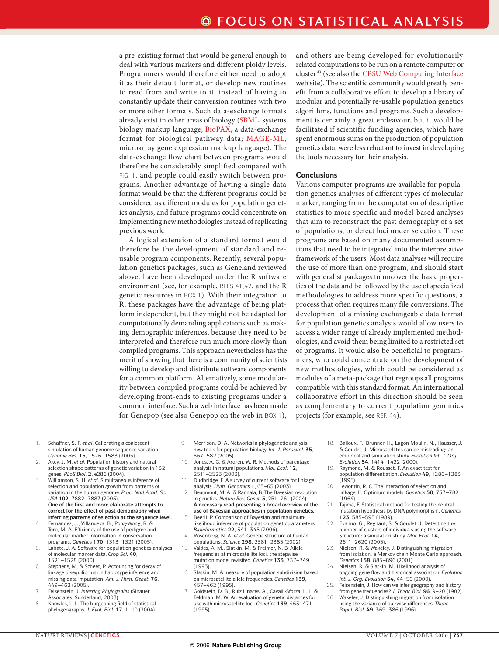a pre-existing format that would be general enough to deal with various markers and different ploidy levels. Programmers would therefore either need to adopt it as their default format, or develop new routines to read from and write to it, instead of having to constantly update their conversion routines with two or more other formats. Such data-exchange formats already exist in other areas of biology (SBML, systems biology markup language; BioPAX, a data-exchange format for biological pathway data; MAGE-ML, microarray gene expression markup language). The data-exchange flow chart between programs would therefore be considerably simplified compared with FIG. 1, and people could easily switch between programs. Another advantage of having a single data format would be that the different programs could be considered as different modules for population genetics analysis, and future programs could concentrate on implementing new methodologies instead of replicating previous work.

A logical extension of a standard format would therefore be the development of standard and reusable program components. Recently, several population genetics packages, such as Geneland reviewed above, have been developed under the R software environment (see, for example, REFS 41,42, and the R genetic resources in BOX 1). With their integration to R, these packages have the advantage of being platform independent, but they might not be adapted for computationally demanding applications such as making demographic inferences, because they need to be interpreted and therefore run much more slowly than compiled programs. This approach nevertheless has the merit of showing that there is a community of scientists willing to develop and distribute software components for a common platform. Alternatively, some modularity between compiled programs could be achieved by developing front-ends to existing programs under a common interface. Such a web interface has been made for Genepop (see also Genepop on the web in BOX 1), and others are being developed for evolutionarily related computations to be run on a remote computer or cluster 43 (see also the CBSU Web Computing Interface web site). The scientific community would greatly benefit from a collaborative effort to develop a library of modular and potentially re-usable population genetics algorithms, functions and programs. Such a development is certainly a great endeavour, but it would be facilitated if scientific funding agencies, which have spent enormous sums on the production of population genetics data, were less reluctant to invest in developing the tools necessary for their analysis.

#### **Conclusions**

Various computer programs are available for population genetics analyses of different types of molecular marker, ranging from the computation of descriptive statistics to more specific and model-based analyses that aim to reconstruct the past demography of a set of populations, or detect loci under selection. These programs are based on many documented assumptions that need to be integrated into the interpretative framework of the users. Most data analyses will require the use of more than one program, and should start with generalist packages to uncover the basic properties of the data and be followed by the use of specialized methodologies to address more specific questions, a process that often requires many file conversions. The development of a missing exchangeable data format for population genetics analysis would allow users to access a wider range of already implemented methodologies, and avoid them being limited to a restricted set of programs. It would also be beneficial to programmers, who could concentrate on the development of new methodologies, which could be considered as modules of a meta-package that regroups all programs compatible with this standard format. An international collaborative effort in this direction should be seen as complementary to current population genomics projects (for example, see REF. 44).

- 1. Schaffner, S. F. *et al*. Calibrating a coalescent simulation of human genome sequence variation. *Genome Res.* **15**, 1576–1583 (2005).
- 2. Akey, J. M. *et al*. Population history and natural selection shape patterns of genetic variation in 132
- genes. *PLoS Biol.* **2**, e286 (2004). 3. Williamson, S. H. *et al.* Simultaneous inference of selection and population growth from patterns of variation in the human genome. *Proc. Natl Acad. Sci. USA* **102**, 7882–7887 (2005). **One of the first and more elaborate attempts to correct for the effect of past demography when inferring patterns of selection at the sequence level.**
- 4. Fernandez, J., Villanueva, B., Pong-Wong, R. & Toro, M. A. Efficiency of the use of pedigree and molecular marker information in conservation programs. *Genetics* **170**, 1313–1321 (2005).
- 5. Labate, J. A. Software for population genetics analyses of molecular marker data. *Crop Sci.* **40**, 1521–1528 (2000).
- 6. Stephens, M. & Scheet, P. Accounting for decay of linkage disequilibrium in haplotype inference and missing-data imputation. *Am. J. Hum. Genet.* **76**, 449–462 (2005).
- 7. Felsenstein, J. *Inferring Phylogenies* (Sinauer Associates, Sunderland, 2003).
- 8. Knowles, L. L. The burgeoning field of statistical phylogeography. *J. Evol. Biol.* **17**, 1–10 (2004).
- 9. Morrison, D. A. Networks in phylogenetic analysis: new tools for population biology. *Int. J. Parasitol.* **35**, 567–582 (2005).
- 10. Jones, A. G. & Ardren, W. R. Methods of parentage analysis in natural populations. *Mol. Ecol.* **12**, 2511–2523 (2003).
- 11. Dudbridge, F. A survey of current software for linkage analysis. *Hum. Genomics* **1**, 63–65 (2003).
- 12. Beaumont, M. A. & Rannala, B. The Bayesian revolution in genetics. *Nature Rev. Genet.* **5**, 251–261 (2004). **A necessary read presenting a broad overview of the use of Bayesian approaches in population genetics.**
- 13. Beerli, P. Comparison of Bayesian and maximumlikelihood inference of population genetic parameters. *Bioinformatics* **22**, 341–345 (2006).
- 14. Rosenberg, N. A. *et al*. Genetic structure of human populations. *Science* **298**, 2381–2385 (2002).
- 15. Valdes, A. M., Slatkin, M. & Freimer, N. B. Allele frequencies at microsatellite loci: the stepwise mutation model revisited. *Genetics* **133**, 737–749 (1993).
- 16. Slatkin, M. A measure of population subdivision based on microsatellite allele frequencies. *Genetics* **139**, 457–462 (1995).
- 17. Goldstein, D. B., Ruiz Linares, A., Cavalli-Sforza, L. L. & Feldman, M. W. An evaluation of genetic distances for use with microsatellite loci. *Genetics* **139**, 463–471 (1995).
- 18. Balloux, F., Brunner, H., Lugon-Moulin, N., Hausser, J. & Goudet, J. Microsatellites can be misleading: an empirical and simulation study. *Evolution Int. J. Org. Evolution* **54**, 1414–1422 (2000).
- 19. Raymond, M. & Rousset, F. An exact test for population differentiation. *Evolution* **49**, 1280–1283 (1995).
- 20. Lewontin, R. C. The interaction of selection and linkage. II. Optimum models. *Genetics* **50**, 757–782 (1964).
- 21. Tajima, F. Statistical method for testing the neutral mutation hypothesis by DNA polymorphism. *Genetics* **123**, 585–595 (1989).
- 22. Evanno, G., Regnaut, S. & Goudet, J. Detecting the number of clusters of individuals using the software Structure: a simulation study. *Mol. Ecol.* **14**, 2611–2620 (2005).
- 23. Nielsen, R. & Wakeley, J. Distinguishing migration from isolation: a Markov chain Monte Carlo approach. *Genetics* **158**, 885–896 (2001).
- 24. Nielsen, R. & Slatkin, M. Likelihood analysis of ongoing gene flow and historical association. *Evolution Int. J. Org. Evolution* **54**, 44–50 (2000).
- 25. Felsenstein, J. How can we infer geography and history from gene frequencies? *J. Theor. Biol.* **96**, 9–20 (1982).
- 26. Wakeley, J. Distinguishing migration from isolation using the variance of pairwise differences. *Theor. Popul. Biol.* **49**, 369–386 (1996).